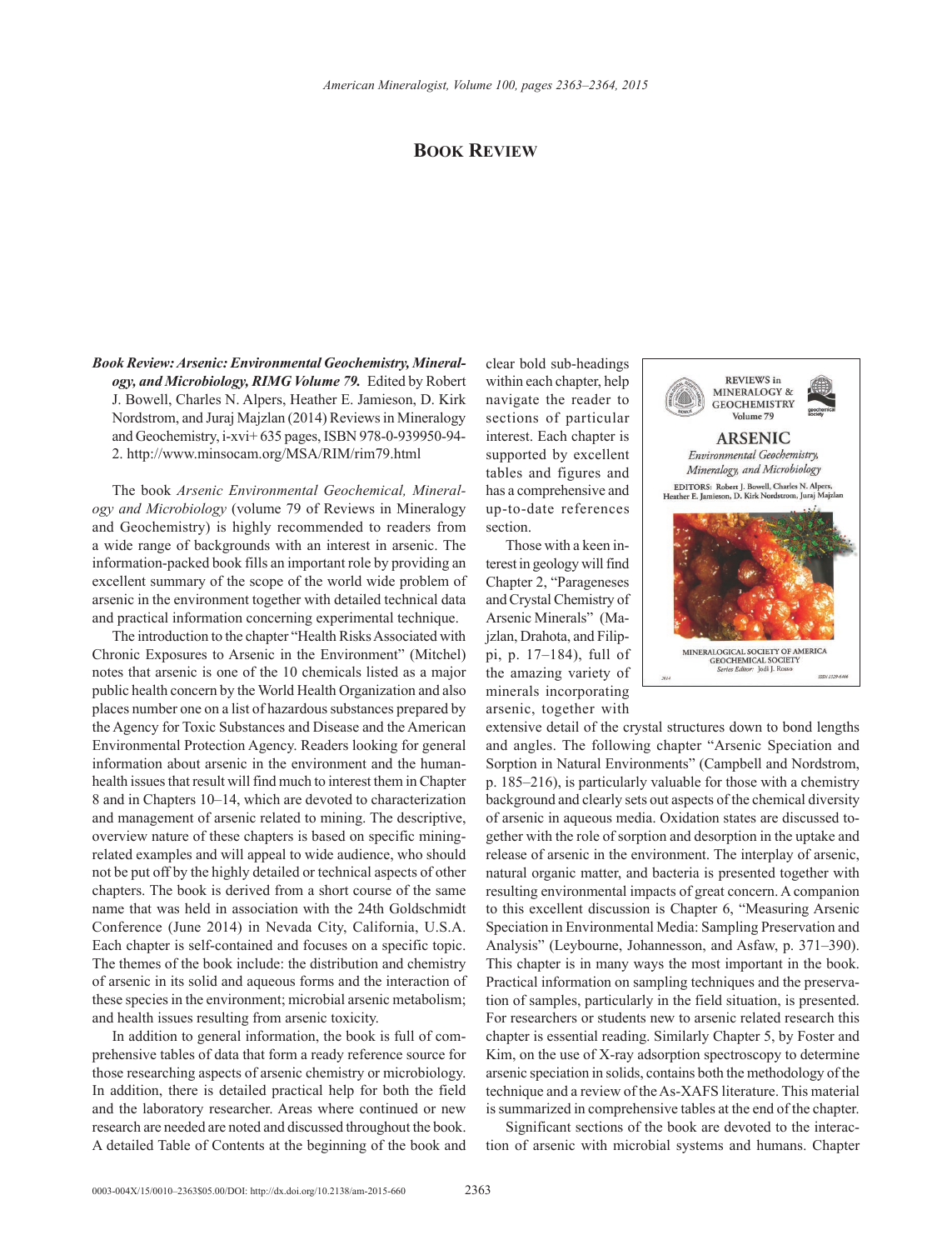## **Book Review**

*Book Review: Arsenic: Environmental Geochemistry, Mineralogy, and Microbiology, RIMG Volume 79.* Edited by Robert J. Bowell, Charles N. Alpers, Heather E. Jamieson, D. Kirk Nordstrom, and Juraj Majzlan (2014) Reviews in Mineralogy and Geochemistry, i-xvi+ 635 pages, ISBN 978-0-939950-94- 2. <http://www.minsocam.org/MSA/RIM/rim79.html>

The book *Arsenic Environmental Geochemical, Mineralogy and Microbiology* (volume 79 of Reviews in Mineralogy and Geochemistry) is highly recommended to readers from a wide range of backgrounds with an interest in arsenic. The information-packed book fills an important role by providing an excellent summary of the scope of the world wide problem of arsenic in the environment together with detailed technical data and practical information concerning experimental technique.

The introduction to the chapter "Health Risks Associated with Chronic Exposures to Arsenic in the Environment" (Mitchel) notes that arsenic is one of the 10 chemicals listed as a major public health concern by the World Health Organization and also places number one on a list of hazardous substances prepared by the Agency for Toxic Substances and Disease and the American Environmental Protection Agency. Readers looking for general information about arsenic in the environment and the humanhealth issues that result will find much to interest them in Chapter 8 and in Chapters 10–14, which are devoted to characterization and management of arsenic related to mining. The descriptive, overview nature of these chapters is based on specific miningrelated examples and will appeal to wide audience, who should not be put off by the highly detailed or technical aspects of other chapters. The book is derived from a short course of the same name that was held in association with the 24th Goldschmidt Conference (June 2014) in Nevada City, California, U.S.A. Each chapter is self-contained and focuses on a specific topic. The themes of the book include: the distribution and chemistry of arsenic in its solid and aqueous forms and the interaction of these species in the environment; microbial arsenic metabolism; and health issues resulting from arsenic toxicity.

In addition to general information, the book is full of comprehensive tables of data that form a ready reference source for those researching aspects of arsenic chemistry or microbiology. In addition, there is detailed practical help for both the field and the laboratory researcher. Areas where continued or new research are needed are noted and discussed throughout the book. A detailed Table of Contents at the beginning of the book and

clear bold sub-headings within each chapter, help navigate the reader to sections of particular interest. Each chapter is supported by excellent tables and figures and has a comprehensive and up-to-date references section.

Those with a keen interest in geology will find Chapter 2, "Parageneses and Crystal Chemistry of Arsenic Minerals" (Majzlan, Drahota, and Filippi, p. 17–184), full of the amazing variety of minerals incorporating arsenic, together with



extensive detail of the crystal structures down to bond lengths and angles. The following chapter "Arsenic Speciation and Sorption in Natural Environments" (Campbell and Nordstrom, p. 185–216), is particularly valuable for those with a chemistry background and clearly sets out aspects of the chemical diversity of arsenic in aqueous media. Oxidation states are discussed together with the role of sorption and desorption in the uptake and release of arsenic in the environment. The interplay of arsenic, natural organic matter, and bacteria is presented together with resulting environmental impacts of great concern. A companion to this excellent discussion is Chapter 6, "Measuring Arsenic Speciation in Environmental Media: Sampling Preservation and Analysis" (Leybourne, Johannesson, and Asfaw, p. 371–390). This chapter is in many ways the most important in the book. Practical information on sampling techniques and the preservation of samples, particularly in the field situation, is presented. For researchers or students new to arsenic related research this chapter is essential reading. Similarly Chapter 5, by Foster and Kim, on the use of X-ray adsorption spectroscopy to determine arsenic speciation in solids, contains both the methodology of the technique and a review of the As-XAFS literature. This material is summarized in comprehensive tables at the end of the chapter.

Significant sections of the book are devoted to the interaction of arsenic with microbial systems and humans. Chapter